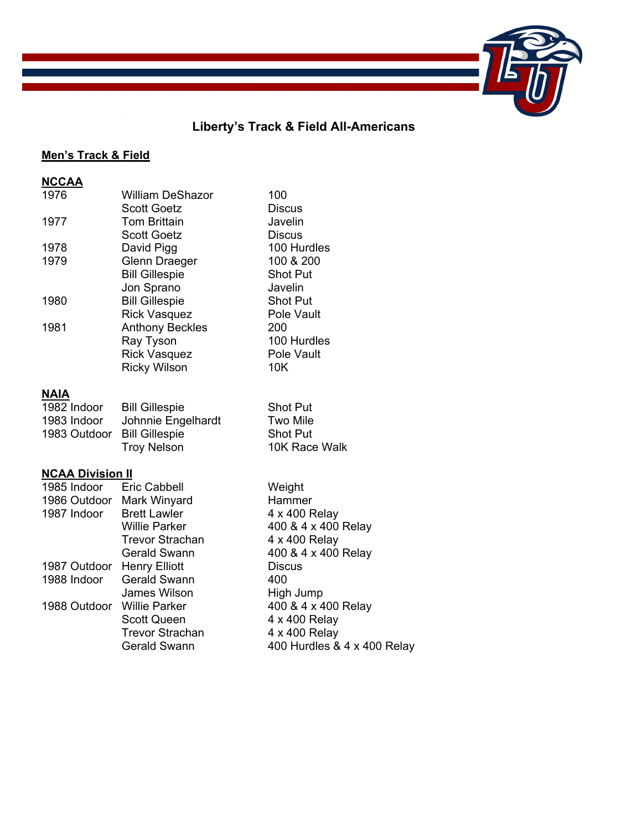# **Liberty's Track & Field All-Americans**

# **Men's Track & Field**

| <b>NCCAA</b>            |                         |                             |
|-------------------------|-------------------------|-----------------------------|
| 1976                    | <b>William DeShazor</b> | 100                         |
|                         | <b>Scott Goetz</b>      | <b>Discus</b>               |
| 1977                    | <b>Tom Brittain</b>     | Javelin                     |
|                         | <b>Scott Goetz</b>      | <b>Discus</b>               |
| 1978                    | David Pigg              | 100 Hurdles                 |
| 1979                    | Glenn Draeger           | 100 & 200                   |
|                         | <b>Bill Gillespie</b>   | <b>Shot Put</b>             |
|                         | Jon Sprano              | Javelin                     |
| 1980                    | <b>Bill Gillespie</b>   | <b>Shot Put</b>             |
|                         | <b>Rick Vasquez</b>     | Pole Vault                  |
| 1981                    | <b>Anthony Beckles</b>  | 200                         |
|                         | Ray Tyson               | 100 Hurdles                 |
|                         | <b>Rick Vasquez</b>     | Pole Vault                  |
|                         | <b>Ricky Wilson</b>     | 10K                         |
|                         |                         |                             |
| <b>NAIA</b>             |                         |                             |
| 1982 Indoor             | <b>Bill Gillespie</b>   | <b>Shot Put</b>             |
| 1983 Indoor             | Johnnie Engelhardt      | <b>Two Mile</b>             |
| 1983 Outdoor            | <b>Bill Gillespie</b>   | <b>Shot Put</b>             |
|                         | <b>Troy Nelson</b>      | 10K Race Walk               |
| <b>NCAA Division II</b> |                         |                             |
| 1985 Indoor             | <b>Eric Cabbell</b>     | Weight                      |
| 1986 Outdoor            | Mark Winyard            | Hammer                      |
| 1987 Indoor             | <b>Brett Lawler</b>     | 4 x 400 Relay               |
|                         | <b>Willie Parker</b>    | 400 & 4 x 400 Relay         |
|                         | <b>Trevor Strachan</b>  | 4 x 400 Relay               |
|                         | <b>Gerald Swann</b>     | 400 & 4 x 400 Relay         |
| 1987 Outdoor            | <b>Henry Elliott</b>    | <b>Discus</b>               |
| 1988 Indoor             | <b>Gerald Swann</b>     | 400                         |
|                         | James Wilson            | High Jump                   |
| 1988 Outdoor            | <b>Willie Parker</b>    | 400 & 4 x 400 Relay         |
|                         | <b>Scott Queen</b>      | 4 x 400 Relay               |
|                         | <b>Trevor Strachan</b>  | 4 x 400 Relay               |
|                         | <b>Gerald Swann</b>     | 400 Hurdles & 4 x 400 Relay |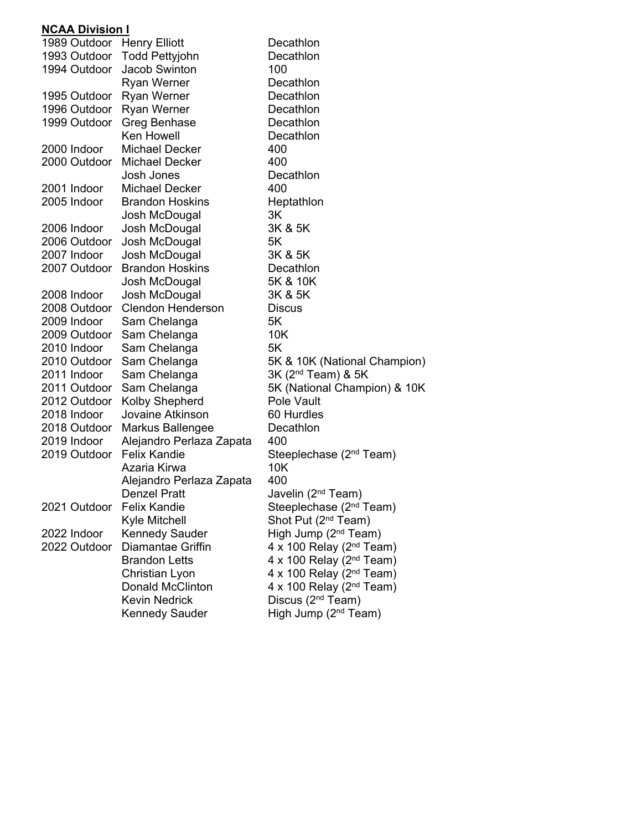### **NCAA Division I**

| 1989 Outdoor | <b>Henry Elliott</b>                                                                                                                                                                               | Decathlon                                                                                                                                                                                                                                                                                                                                                                                                                                                                                                                                                                                                                                                                                                                                                                                                                                            |
|--------------|----------------------------------------------------------------------------------------------------------------------------------------------------------------------------------------------------|------------------------------------------------------------------------------------------------------------------------------------------------------------------------------------------------------------------------------------------------------------------------------------------------------------------------------------------------------------------------------------------------------------------------------------------------------------------------------------------------------------------------------------------------------------------------------------------------------------------------------------------------------------------------------------------------------------------------------------------------------------------------------------------------------------------------------------------------------|
|              | <b>Todd Pettyjohn</b>                                                                                                                                                                              | Decathlon                                                                                                                                                                                                                                                                                                                                                                                                                                                                                                                                                                                                                                                                                                                                                                                                                                            |
| 1994 Outdoor | Jacob Swinton                                                                                                                                                                                      | 100                                                                                                                                                                                                                                                                                                                                                                                                                                                                                                                                                                                                                                                                                                                                                                                                                                                  |
|              | <b>Ryan Werner</b>                                                                                                                                                                                 | Decathlon                                                                                                                                                                                                                                                                                                                                                                                                                                                                                                                                                                                                                                                                                                                                                                                                                                            |
| 1995 Outdoor | Ryan Werner                                                                                                                                                                                        | Decathlon                                                                                                                                                                                                                                                                                                                                                                                                                                                                                                                                                                                                                                                                                                                                                                                                                                            |
|              | <b>Ryan Werner</b>                                                                                                                                                                                 | Decathlon                                                                                                                                                                                                                                                                                                                                                                                                                                                                                                                                                                                                                                                                                                                                                                                                                                            |
| 1999 Outdoor | Greg Benhase                                                                                                                                                                                       | Decathlon                                                                                                                                                                                                                                                                                                                                                                                                                                                                                                                                                                                                                                                                                                                                                                                                                                            |
|              | Ken Howell                                                                                                                                                                                         | Decathlon                                                                                                                                                                                                                                                                                                                                                                                                                                                                                                                                                                                                                                                                                                                                                                                                                                            |
| 2000 Indoor  | <b>Michael Decker</b>                                                                                                                                                                              | 400                                                                                                                                                                                                                                                                                                                                                                                                                                                                                                                                                                                                                                                                                                                                                                                                                                                  |
|              | Michael Decker                                                                                                                                                                                     | 400                                                                                                                                                                                                                                                                                                                                                                                                                                                                                                                                                                                                                                                                                                                                                                                                                                                  |
|              | Josh Jones                                                                                                                                                                                         | Decathlon                                                                                                                                                                                                                                                                                                                                                                                                                                                                                                                                                                                                                                                                                                                                                                                                                                            |
| 2001 Indoor  | <b>Michael Decker</b>                                                                                                                                                                              | 400                                                                                                                                                                                                                                                                                                                                                                                                                                                                                                                                                                                                                                                                                                                                                                                                                                                  |
|              |                                                                                                                                                                                                    | Heptathlon                                                                                                                                                                                                                                                                                                                                                                                                                                                                                                                                                                                                                                                                                                                                                                                                                                           |
|              |                                                                                                                                                                                                    | 3K                                                                                                                                                                                                                                                                                                                                                                                                                                                                                                                                                                                                                                                                                                                                                                                                                                                   |
|              |                                                                                                                                                                                                    | 3K & 5K                                                                                                                                                                                                                                                                                                                                                                                                                                                                                                                                                                                                                                                                                                                                                                                                                                              |
|              |                                                                                                                                                                                                    | 5K                                                                                                                                                                                                                                                                                                                                                                                                                                                                                                                                                                                                                                                                                                                                                                                                                                                   |
|              |                                                                                                                                                                                                    | 3K & 5K                                                                                                                                                                                                                                                                                                                                                                                                                                                                                                                                                                                                                                                                                                                                                                                                                                              |
|              |                                                                                                                                                                                                    | Decathlon                                                                                                                                                                                                                                                                                                                                                                                                                                                                                                                                                                                                                                                                                                                                                                                                                                            |
|              |                                                                                                                                                                                                    | 5K & 10K                                                                                                                                                                                                                                                                                                                                                                                                                                                                                                                                                                                                                                                                                                                                                                                                                                             |
|              |                                                                                                                                                                                                    | 3K & 5K                                                                                                                                                                                                                                                                                                                                                                                                                                                                                                                                                                                                                                                                                                                                                                                                                                              |
|              |                                                                                                                                                                                                    | <b>Discus</b>                                                                                                                                                                                                                                                                                                                                                                                                                                                                                                                                                                                                                                                                                                                                                                                                                                        |
|              |                                                                                                                                                                                                    | 5K                                                                                                                                                                                                                                                                                                                                                                                                                                                                                                                                                                                                                                                                                                                                                                                                                                                   |
|              |                                                                                                                                                                                                    | 10K                                                                                                                                                                                                                                                                                                                                                                                                                                                                                                                                                                                                                                                                                                                                                                                                                                                  |
|              |                                                                                                                                                                                                    | 5K                                                                                                                                                                                                                                                                                                                                                                                                                                                                                                                                                                                                                                                                                                                                                                                                                                                   |
|              |                                                                                                                                                                                                    | 5K & 10K (National Champion)                                                                                                                                                                                                                                                                                                                                                                                                                                                                                                                                                                                                                                                                                                                                                                                                                         |
|              |                                                                                                                                                                                                    | 3K (2 <sup>nd</sup> Team) & 5K                                                                                                                                                                                                                                                                                                                                                                                                                                                                                                                                                                                                                                                                                                                                                                                                                       |
|              |                                                                                                                                                                                                    | 5K (National Champion) & 10K                                                                                                                                                                                                                                                                                                                                                                                                                                                                                                                                                                                                                                                                                                                                                                                                                         |
|              |                                                                                                                                                                                                    | Pole Vault                                                                                                                                                                                                                                                                                                                                                                                                                                                                                                                                                                                                                                                                                                                                                                                                                                           |
|              |                                                                                                                                                                                                    | 60 Hurdles                                                                                                                                                                                                                                                                                                                                                                                                                                                                                                                                                                                                                                                                                                                                                                                                                                           |
|              |                                                                                                                                                                                                    | Decathlon                                                                                                                                                                                                                                                                                                                                                                                                                                                                                                                                                                                                                                                                                                                                                                                                                                            |
|              |                                                                                                                                                                                                    | 400                                                                                                                                                                                                                                                                                                                                                                                                                                                                                                                                                                                                                                                                                                                                                                                                                                                  |
|              |                                                                                                                                                                                                    | Steeplechase (2 <sup>nd</sup> Team)                                                                                                                                                                                                                                                                                                                                                                                                                                                                                                                                                                                                                                                                                                                                                                                                                  |
|              |                                                                                                                                                                                                    | 10K                                                                                                                                                                                                                                                                                                                                                                                                                                                                                                                                                                                                                                                                                                                                                                                                                                                  |
|              |                                                                                                                                                                                                    | 400                                                                                                                                                                                                                                                                                                                                                                                                                                                                                                                                                                                                                                                                                                                                                                                                                                                  |
|              |                                                                                                                                                                                                    | Javelin (2 <sup>nd</sup> Team)                                                                                                                                                                                                                                                                                                                                                                                                                                                                                                                                                                                                                                                                                                                                                                                                                       |
|              |                                                                                                                                                                                                    | Steeplechase (2 <sup>nd</sup> Team)                                                                                                                                                                                                                                                                                                                                                                                                                                                                                                                                                                                                                                                                                                                                                                                                                  |
|              |                                                                                                                                                                                                    | Shot Put (2 <sup>nd</sup> Team)                                                                                                                                                                                                                                                                                                                                                                                                                                                                                                                                                                                                                                                                                                                                                                                                                      |
|              |                                                                                                                                                                                                    | High Jump (2 <sup>nd</sup> Team)                                                                                                                                                                                                                                                                                                                                                                                                                                                                                                                                                                                                                                                                                                                                                                                                                     |
|              |                                                                                                                                                                                                    | 4 x 100 Relay ( $2nd$ Team)                                                                                                                                                                                                                                                                                                                                                                                                                                                                                                                                                                                                                                                                                                                                                                                                                          |
|              |                                                                                                                                                                                                    | 4 x 100 Relay (2 <sup>nd</sup> Team)                                                                                                                                                                                                                                                                                                                                                                                                                                                                                                                                                                                                                                                                                                                                                                                                                 |
|              |                                                                                                                                                                                                    | $4 \times 100$ Relay (2 <sup>nd</sup> Team)                                                                                                                                                                                                                                                                                                                                                                                                                                                                                                                                                                                                                                                                                                                                                                                                          |
|              |                                                                                                                                                                                                    | $4 \times 100$ Relay (2 <sup>nd</sup> Team)                                                                                                                                                                                                                                                                                                                                                                                                                                                                                                                                                                                                                                                                                                                                                                                                          |
|              |                                                                                                                                                                                                    | Discus (2 <sup>nd</sup> Team)                                                                                                                                                                                                                                                                                                                                                                                                                                                                                                                                                                                                                                                                                                                                                                                                                        |
|              |                                                                                                                                                                                                    | High Jump (2 <sup>nd</sup> Team)                                                                                                                                                                                                                                                                                                                                                                                                                                                                                                                                                                                                                                                                                                                                                                                                                     |
|              | 2005 Indoor<br>2006 Indoor<br>2006 Outdoor<br>2007 Indoor<br>2007 Outdoor<br>2008 Indoor<br>2009 Indoor<br>2010 Indoor<br>2011 Indoor<br>2018 Indoor<br>2019 Indoor<br>2022 Indoor<br>2022 Outdoor | 1993 Outdoor<br>1996 Outdoor<br>2000 Outdoor<br><b>Brandon Hoskins</b><br>Josh McDougal<br>Josh McDougal<br>Josh McDougal<br>Josh McDougal<br><b>Brandon Hoskins</b><br>Josh McDougal<br>Josh McDougal<br><b>Clendon Henderson</b><br>2008 Outdoor<br>Sam Chelanga<br>2009 Outdoor<br>Sam Chelanga<br>Sam Chelanga<br>2010 Outdoor<br>Sam Chelanga<br>Sam Chelanga<br>2011 Outdoor<br>Sam Chelanga<br>Kolby Shepherd<br>2012 Outdoor<br>Jovaine Atkinson<br>2018 Outdoor<br>Markus Ballengee<br>Alejandro Perlaza Zapata<br><b>Felix Kandie</b><br>2019 Outdoor<br>Azaria Kirwa<br>Alejandro Perlaza Zapata<br><b>Denzel Pratt</b><br>2021 Outdoor Felix Kandie<br>Kyle Mitchell<br><b>Kennedy Sauder</b><br>Diamantae Griffin<br><b>Brandon Letts</b><br>Christian Lyon<br><b>Donald McClinton</b><br><b>Kevin Nedrick</b><br><b>Kennedy Sauder</b> |